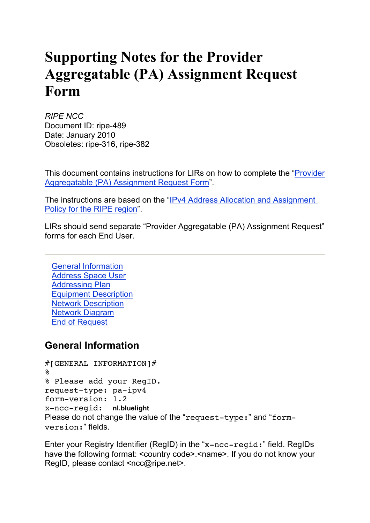# **Supporting Notes for the Provider Aggregatable (PA) Assignment Request Form**

*RIPE NCC* Document ID: ripe-489 Date: January 2010 Obsoletes: ripe-316, ripe-382

This document contains instructions for LIRs on how to complete the "Provider Aggregatable (PA) Assignment Request Form".

The instructions are based on the "IPv4 Address Allocation and Assignment Policy for the RIPE region".

LIRs should send separate "Provider Aggregatable (PA) Assignment Request" forms for each End User.

General Information Address Space User Addressing Plan Equipment Description Network Description Network Diagram End of Request

### **General Information**

```
#[GENERAL INFORMATION]#
%
% Please add your RegID.
request-type: pa-ipv4
form-version: 1.2
x-ncc-regid: nl.bluelight
Please do not change the value of the "request-type:" and "form-
version:" fields.
```
Enter your Registry Identifier (RegID) in the "x-ncc-regid:" field. RegIDs have the following format: <country code>.<name>. If you do not know your RegID, please contact <ncc@ripe.net>.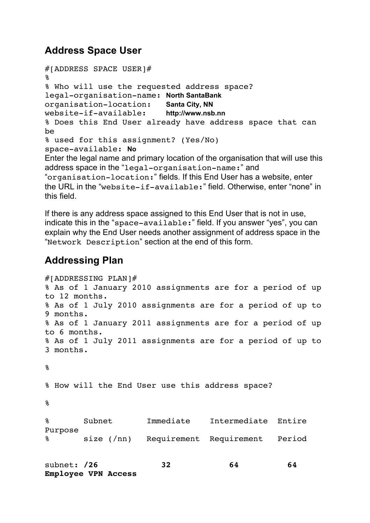## **Address Space User**

```
#[ADDRESS SPACE USER]#
%
% Who will use the requested address space?
legal-organisation-name: North SantaBank
organisation-location: Santa City, NN
website-if-available: http://www.nsb.nn
% Does this End User already have address space that can 
be
% used for this assignment? (Yes/No)
space-available: No
Enter the legal name and primary location of the organisation that will use this 
address space in the "legal-organisation-name:" and 
"organisation-location:" fields. If this End User has a website, enter 
the URL in the "website-if-available:" field. Otherwise, enter "none" in 
this field.
```
If there is any address space assigned to this End User that is not in use, indicate this in the "space-available:" field. If you answer "yes", you can explain why the End User needs another assignment of address space in the "Network Description" section at the end of this form.

## **Addressing Plan**

**Employee VPN Access**

```
#[ADDRESSING PLAN]#
% As of 1 January 2010 assignments are for a period of up 
to 12 months.
% As of 1 July 2010 assignments are for a period of up to 
9 months.
% As of 1 January 2011 assignments are for a period of up 
to 6 months.
% As of 1 July 2011 assignments are for a period of up to 
3 months.
%
% How will the End User use this address space?
%
% Subnet Immediate Intermediate Entire 
Purpose
       size (/nn) Requirement Requirement Period
subnet: /26 32 64 64
```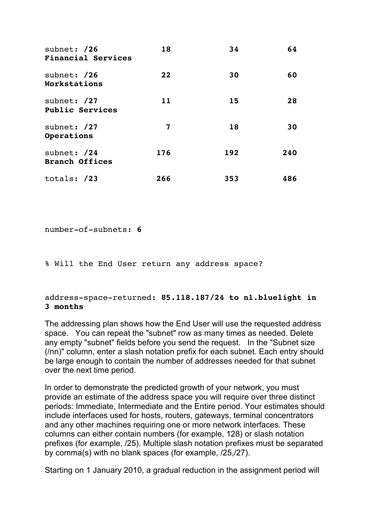| subnet: /26<br><b>Financial Services</b> | 18  | 34  | 64  |
|------------------------------------------|-----|-----|-----|
| subnet: /26<br>Workstations              | 22  | 30  | 60  |
| subnet: /27<br><b>Public Services</b>    | 11  | 15  | 28  |
| subnet: /27<br>Operations                | 7   | 18  | 30  |
| subnet: /24<br><b>Branch Offices</b>     | 176 | 192 | 240 |
| totals: /23                              | 266 | 353 | 486 |

number-of-subnets: **6**

% Will the End User return any address space?

#### address-space-returned: **85.118.187/24 to nl.bluelight in 3 months**

The addressing plan shows how the End User will use the requested address space. You can repeat the "subnet" row as many times as needed. Delete any empty "subnet" fields before you send the request. In the "Subnet size (/nn)" column, enter a slash notation prefix for each subnet. Each entry should be large enough to contain the number of addresses needed for that subnet over the next time period.

In order to demonstrate the predicted growth of your network, you must provide an estimate of the address space you will require over three distinct periods: Immediate, Intermediate and the Entire period. Your estimates should include interfaces used for hosts, routers, gateways, terminal concentrators and any other machines requiring one or more network interfaces. These columns can either contain numbers (for example, 128) or slash notation prefixes (for example, /25). Multiple slash notation prefixes must be separated by comma(s) with no blank spaces (for example, /25,/27).

Starting on 1 January 2010, a gradual reduction in the assignment period will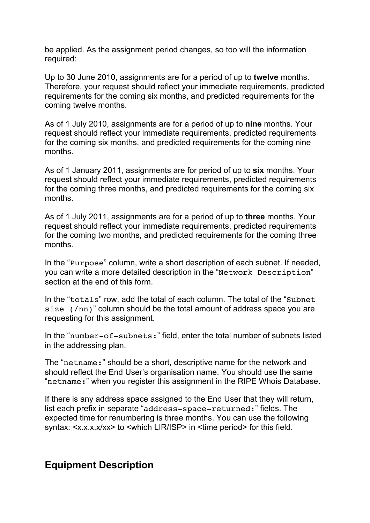be applied. As the assignment period changes, so too will the information required:

Up to 30 June 2010, assignments are for a period of up to **twelve** months. Therefore, your request should reflect your immediate requirements, predicted requirements for the coming six months, and predicted requirements for the coming twelve months.

As of 1 July 2010, assignments are for a period of up to **nine** months. Your request should reflect your immediate requirements, predicted requirements for the coming six months, and predicted requirements for the coming nine months.

As of 1 January 2011, assignments are for period of up to **six** months. Your request should reflect your immediate requirements, predicted requirements for the coming three months, and predicted requirements for the coming six months.

As of 1 July 2011, assignments are for a period of up to **three** months. Your request should reflect your immediate requirements, predicted requirements for the coming two months, and predicted requirements for the coming three months.

In the "Purpose" column, write a short description of each subnet. If needed, you can write a more detailed description in the "Network Description" section at the end of this form.

In the "totals" row, add the total of each column. The total of the "Subnet size (/nn)" column should be the total amount of address space you are requesting for this assignment.

In the "number-of-subnets:" field, enter the total number of subnets listed in the addressing plan.

The "netname:" should be a short, descriptive name for the network and should reflect the End User's organisation name. You should use the same "netname:" when you register this assignment in the RIPE Whois Database.

If there is any address space assigned to the End User that they will return, list each prefix in separate "address-space-returned:" fields. The expected time for renumbering is three months. You can use the following syntax: <x.x.x.x/xx> to <which LIR/ISP> in <time period> for this field.

# **Equipment Description**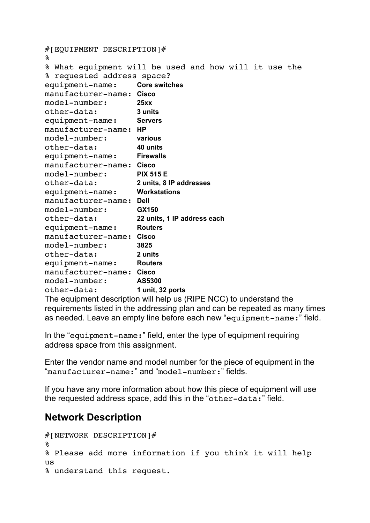```
#[EQUIPMENT DESCRIPTION]#
%
% What equipment will be used and how will it use the 
% requested address space?
equipment-name: Core switches
manufacturer-name: Cisco
model-number: 25xx
other-data: 3 units
equipment-name: Servers
manufacturer-name: HP
model-number: various
other-data: 40 units
equipment-name: Firewalls
manufacturer-name: Cisco
model-number: PIX 515 E
other-data: 2 units, 8 IP addresses
equipment-name: Workstations
manufacturer-name: Dell
model-number: GX150
other-data: 22 units, 1 IP address each
equipment-name: Routers
manufacturer-name: Cisco
model-number: 3825
other-data: 2 units
equipment-name: Routers
manufacturer-name: Cisco
model-number: AS5300
other-data: 1 unit, 32 ports
```
The equipment description will help us (RIPE NCC) to understand the requirements listed in the addressing plan and can be repeated as many times as needed. Leave an empty line before each new "equipment-name:" field.

In the "equipment-name:" field, enter the type of equipment requiring address space from this assignment.

Enter the vendor name and model number for the piece of equipment in the "manufacturer-name:" and "model-number:" fields.

If you have any more information about how this piece of equipment will use the requested address space, add this in the "other-data:" field.

# **Network Description**

```
#[NETWORK DESCRIPTION]#
%
% Please add more information if you think it will help 
us 
% understand this request.
```